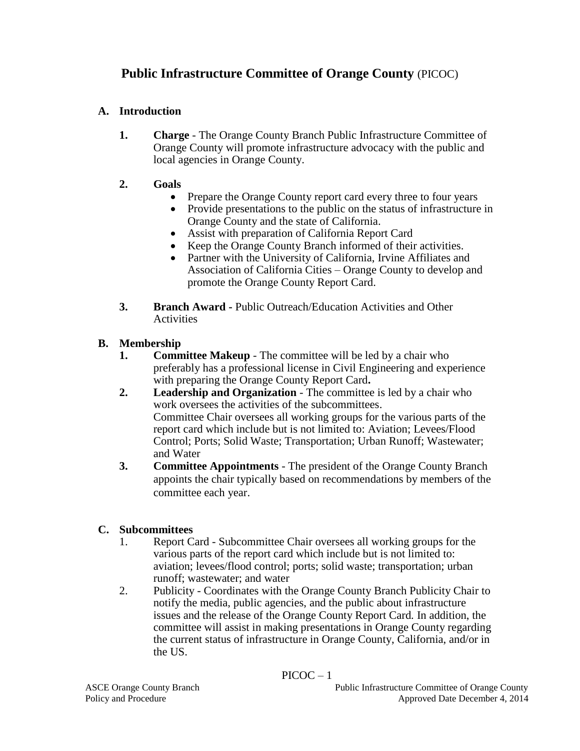## **Public Infrastructure Committee of Orange County** (PICOC)

## **A. Introduction**

- **1. Charge** The Orange County Branch Public Infrastructure Committee of Orange County will promote infrastructure advocacy with the public and local agencies in Orange County.
- **2. Goals**
	- Prepare the Orange County report card every three to four years
	- Provide presentations to the public on the status of infrastructure in Orange County and the state of California.
	- Assist with preparation of California Report Card
	- Keep the Orange County Branch informed of their activities.
	- Partner with the University of California, Irvine Affiliates and Association of California Cities – Orange County to develop and promote the Orange County Report Card.
- **3. Branch Award -** Public Outreach/Education Activities and Other Activities

## **B. Membership**

- **1. Committee Makeup** The committee will be led by a chair who preferably has a professional license in Civil Engineering and experience with preparing the Orange County Report Card**.**
- **2. Leadership and Organization** The committee is led by a chair who work oversees the activities of the subcommittees. Committee Chair oversees all working groups for the various parts of the report card which include but is not limited to: Aviation; Levees/Flood Control; Ports; Solid Waste; Transportation; Urban Runoff; Wastewater; and Water
- **3. Committee Appointments** The president of the Orange County Branch appoints the chair typically based on recommendations by members of the committee each year.

## **C. Subcommittees**

- 1. Report Card Subcommittee Chair oversees all working groups for the various parts of the report card which include but is not limited to: aviation; levees/flood control; ports; solid waste; transportation; urban runoff; wastewater; and water
- 2. Publicity Coordinates with the Orange County Branch Publicity Chair to notify the media, public agencies, and the public about infrastructure issues and the release of the Orange County Report Card*.* In addition, the committee will assist in making presentations in Orange County regarding the current status of infrastructure in Orange County, California, and/or in the US.